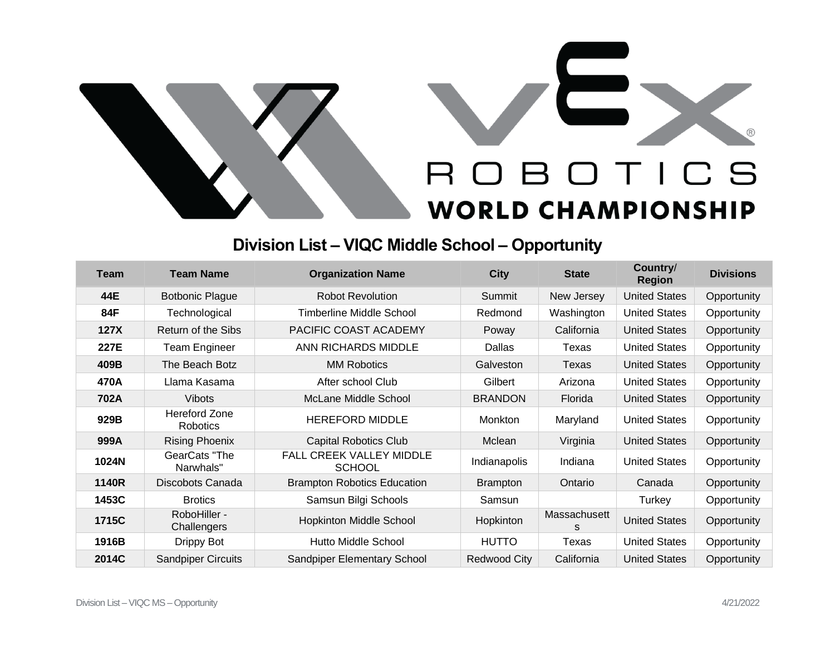

## **Division List – VIQC Middle School – Opportunity**

| <b>Team</b> | <b>Team Name</b>                        | <b>Organization Name</b>                         | <b>City</b>         | <b>State</b> | Country/<br><b>Region</b> | <b>Divisions</b> |
|-------------|-----------------------------------------|--------------------------------------------------|---------------------|--------------|---------------------------|------------------|
| 44E         | <b>Botbonic Plague</b>                  | <b>Robot Revolution</b>                          | Summit              | New Jersey   | <b>United States</b>      | Opportunity      |
| 84F         | Technological                           | Timberline Middle School                         | Redmond             | Washington   | <b>United States</b>      | Opportunity      |
| <b>127X</b> | Return of the Sibs                      | PACIFIC COAST ACADEMY                            | Poway               | California   | <b>United States</b>      | Opportunity      |
| 227E        | Team Engineer                           | ANN RICHARDS MIDDLE                              | Dallas              | Texas        | <b>United States</b>      | Opportunity      |
| 409B        | The Beach Botz                          | <b>MM Robotics</b>                               | Galveston           | Texas        | <b>United States</b>      | Opportunity      |
| 470A        | Llama Kasama                            | After school Club                                | Gilbert             | Arizona      | <b>United States</b>      | Opportunity      |
| 702A        | <b>Vibots</b>                           | McLane Middle School                             | <b>BRANDON</b>      | Florida      | <b>United States</b>      | Opportunity      |
| 929B        | <b>Hereford Zone</b><br><b>Robotics</b> | <b>HEREFORD MIDDLE</b>                           | Monkton             | Maryland     | <b>United States</b>      | Opportunity      |
| 999A        | <b>Rising Phoenix</b>                   | <b>Capital Robotics Club</b>                     | Mclean              | Virginia     | <b>United States</b>      | Opportunity      |
| 1024N       | GearCats "The<br>Narwhals"              | <b>FALL CREEK VALLEY MIDDLE</b><br><b>SCHOOL</b> | Indianapolis        | Indiana      | <b>United States</b>      | Opportunity      |
| 1140R       | Discobots Canada                        | <b>Brampton Robotics Education</b>               | <b>Brampton</b>     | Ontario      | Canada                    | Opportunity      |
| 1453C       | <b>Brotics</b>                          | Samsun Bilgi Schools                             | Samsun              |              | Turkey                    | Opportunity      |
| 1715C       | RoboHiller -<br>Challengers             | <b>Hopkinton Middle School</b>                   | Hopkinton           | Massachusett | <b>United States</b>      | Opportunity      |
| 1916B       | Drippy Bot                              | <b>Hutto Middle School</b>                       | <b>HUTTO</b>        | Texas        | <b>United States</b>      | Opportunity      |
| 2014C       | <b>Sandpiper Circuits</b>               | Sandpiper Elementary School                      | <b>Redwood City</b> | California   | <b>United States</b>      | Opportunity      |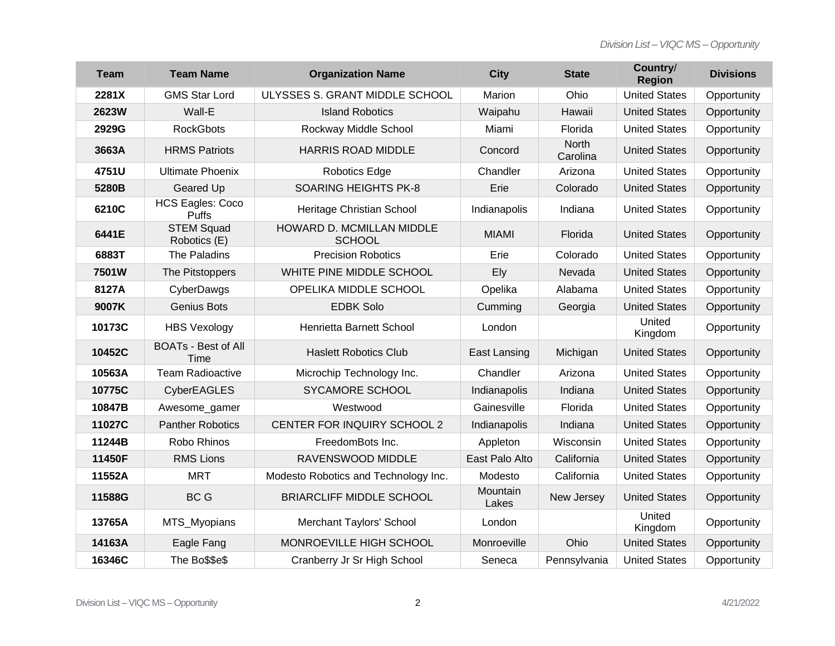| <b>Team</b> | <b>Team Name</b>                   | <b>Organization Name</b>                   | <b>City</b>       | <b>State</b>      | Country/<br><b>Region</b> | <b>Divisions</b> |
|-------------|------------------------------------|--------------------------------------------|-------------------|-------------------|---------------------------|------------------|
| 2281X       | <b>GMS Star Lord</b>               | ULYSSES S. GRANT MIDDLE SCHOOL             | Marion            | Ohio              | <b>United States</b>      | Opportunity      |
| 2623W       | Wall-E                             | <b>Island Robotics</b>                     | Waipahu           | Hawaii            | <b>United States</b>      | Opportunity      |
| 2929G       | <b>RockGbots</b>                   | Rockway Middle School                      | Miami             | Florida           | <b>United States</b>      | Opportunity      |
| 3663A       | <b>HRMS Patriots</b>               | <b>HARRIS ROAD MIDDLE</b>                  | Concord           | North<br>Carolina | <b>United States</b>      | Opportunity      |
| 4751U       | <b>Ultimate Phoenix</b>            | <b>Robotics Edge</b>                       | Chandler          | Arizona           | <b>United States</b>      | Opportunity      |
| 5280B       | <b>Geared Up</b>                   | <b>SOARING HEIGHTS PK-8</b>                | Erie              | Colorado          | <b>United States</b>      | Opportunity      |
| 6210C       | <b>HCS Eagles: Coco</b><br>Puffs   | Heritage Christian School                  | Indianapolis      | Indiana           | <b>United States</b>      | Opportunity      |
| 6441E       | <b>STEM Squad</b><br>Robotics (E)  | HOWARD D. MCMILLAN MIDDLE<br><b>SCHOOL</b> | <b>MIAMI</b>      | Florida           | <b>United States</b>      | Opportunity      |
| 6883T       | The Paladins                       | <b>Precision Robotics</b>                  | Erie              | Colorado          | <b>United States</b>      | Opportunity      |
| 7501W       | The Pitstoppers                    | WHITE PINE MIDDLE SCHOOL                   | Ely               | Nevada            | <b>United States</b>      | Opportunity      |
| 8127A       | CyberDawgs                         | OPELIKA MIDDLE SCHOOL                      | Opelika           | Alabama           | <b>United States</b>      | Opportunity      |
| 9007K       | <b>Genius Bots</b>                 | <b>EDBK Solo</b>                           | Cumming           | Georgia           | <b>United States</b>      | Opportunity      |
| 10173C      | <b>HBS Vexology</b>                | Henrietta Barnett School                   | London            |                   | United<br>Kingdom         | Opportunity      |
| 10452C      | <b>BOATs - Best of All</b><br>Time | <b>Haslett Robotics Club</b>               | East Lansing      | Michigan          | <b>United States</b>      | Opportunity      |
| 10563A      | <b>Team Radioactive</b>            | Microchip Technology Inc.                  | Chandler          | Arizona           | <b>United States</b>      | Opportunity      |
| 10775C      | CyberEAGLES                        | <b>SYCAMORE SCHOOL</b>                     | Indianapolis      | Indiana           | <b>United States</b>      | Opportunity      |
| 10847B      | Awesome_gamer                      | Westwood                                   | Gainesville       | Florida           | <b>United States</b>      | Opportunity      |
| 11027C      | <b>Panther Robotics</b>            | CENTER FOR INQUIRY SCHOOL 2                | Indianapolis      | Indiana           | <b>United States</b>      | Opportunity      |
| 11244B      | Robo Rhinos                        | FreedomBots Inc.                           | Appleton          | Wisconsin         | <b>United States</b>      | Opportunity      |
| 11450F      | <b>RMS Lions</b>                   | RAVENSWOOD MIDDLE                          | East Palo Alto    | California        | <b>United States</b>      | Opportunity      |
| 11552A      | <b>MRT</b>                         | Modesto Robotics and Technology Inc.       | Modesto           | California        | <b>United States</b>      | Opportunity      |
| 11588G      | BC G                               | <b>BRIARCLIFF MIDDLE SCHOOL</b>            | Mountain<br>Lakes | New Jersey        | <b>United States</b>      | Opportunity      |
| 13765A      | MTS_Myopians                       | Merchant Taylors' School                   | London            |                   | United<br>Kingdom         | Opportunity      |
| 14163A      | Eagle Fang                         | MONROEVILLE HIGH SCHOOL                    | Monroeville       | Ohio              | <b>United States</b>      | Opportunity      |
| 16346C      | The Bo\$\$e\$                      | Cranberry Jr Sr High School                | Seneca            | Pennsylvania      | <b>United States</b>      | Opportunity      |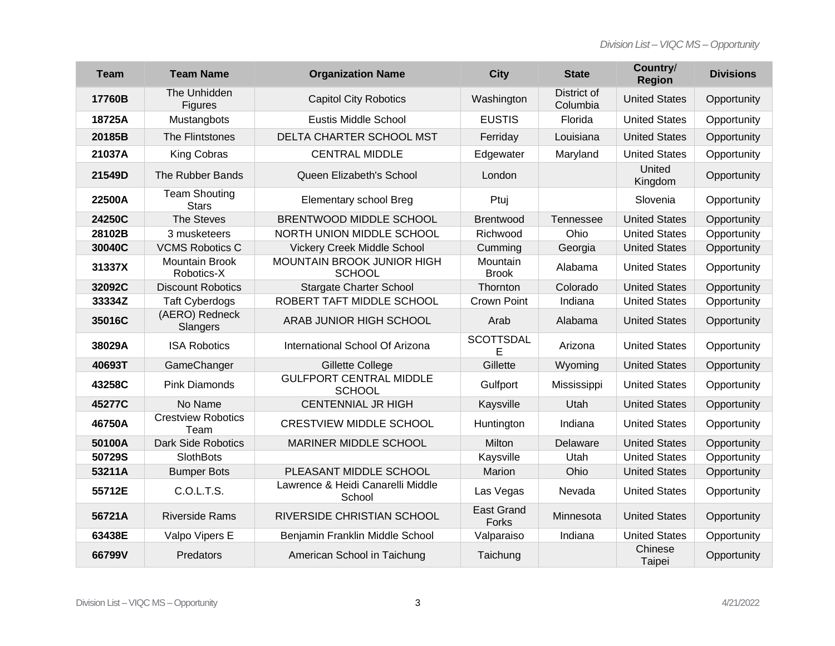| <b>Team</b> | <b>Team Name</b>                     | <b>Organization Name</b>                        | <b>City</b>                | <b>State</b>            | Country/<br><b>Region</b> | <b>Divisions</b> |
|-------------|--------------------------------------|-------------------------------------------------|----------------------------|-------------------------|---------------------------|------------------|
| 17760B      | The Unhidden<br>Figures              | <b>Capitol City Robotics</b>                    | Washington                 | District of<br>Columbia | <b>United States</b>      | Opportunity      |
| 18725A      | Mustangbots                          | <b>Eustis Middle School</b>                     | <b>EUSTIS</b>              | Florida                 | <b>United States</b>      | Opportunity      |
| 20185B      | The Flintstones                      | DELTA CHARTER SCHOOL MST                        | Ferriday                   | Louisiana               | <b>United States</b>      | Opportunity      |
| 21037A      | King Cobras                          | <b>CENTRAL MIDDLE</b>                           | Edgewater                  | Maryland                | <b>United States</b>      | Opportunity      |
| 21549D      | The Rubber Bands                     | Queen Elizabeth's School                        | London                     |                         | United<br>Kingdom         | Opportunity      |
| 22500A      | <b>Team Shouting</b><br><b>Stars</b> | Elementary school Breg                          | Ptuj                       |                         | Slovenia                  | Opportunity      |
| 24250C      | <b>The Steves</b>                    | BRENTWOOD MIDDLE SCHOOL                         | Brentwood                  | <b>Tennessee</b>        | <b>United States</b>      | Opportunity      |
| 28102B      | 3 musketeers                         | NORTH UNION MIDDLE SCHOOL                       | Richwood                   | Ohio                    | <b>United States</b>      | Opportunity      |
| 30040C      | <b>VCMS Robotics C</b>               | <b>Vickery Creek Middle School</b>              | Cumming                    | Georgia                 | <b>United States</b>      | Opportunity      |
| 31337X      | <b>Mountain Brook</b><br>Robotics-X  | MOUNTAIN BROOK JUNIOR HIGH<br><b>SCHOOL</b>     | Mountain<br><b>Brook</b>   | Alabama                 | <b>United States</b>      | Opportunity      |
| 32092C      | <b>Discount Robotics</b>             | <b>Stargate Charter School</b>                  | Thornton                   | Colorado                | <b>United States</b>      | Opportunity      |
| 33334Z      | <b>Taft Cyberdogs</b>                | ROBERT TAFT MIDDLE SCHOOL                       | Crown Point                | Indiana                 | <b>United States</b>      | Opportunity      |
| 35016C      | (AERO) Redneck<br>Slangers           | ARAB JUNIOR HIGH SCHOOL                         | Arab                       | Alabama                 | <b>United States</b>      | Opportunity      |
| 38029A      | <b>ISA Robotics</b>                  | International School Of Arizona                 | <b>SCOTTSDAL</b><br>E      | Arizona                 | <b>United States</b>      | Opportunity      |
| 40693T      | GameChanger                          | Gillette College                                | Gillette                   | Wyoming                 | <b>United States</b>      | Opportunity      |
| 43258C      | <b>Pink Diamonds</b>                 | <b>GULFPORT CENTRAL MIDDLE</b><br><b>SCHOOL</b> | Gulfport                   | Mississippi             | <b>United States</b>      | Opportunity      |
| 45277C      | No Name                              | <b>CENTENNIAL JR HIGH</b>                       | Kaysville                  | Utah                    | <b>United States</b>      | Opportunity      |
| 46750A      | <b>Crestview Robotics</b><br>Team    | <b>CRESTVIEW MIDDLE SCHOOL</b>                  | Huntington                 | Indiana                 | <b>United States</b>      | Opportunity      |
| 50100A      | <b>Dark Side Robotics</b>            | MARINER MIDDLE SCHOOL                           | Milton                     | Delaware                | <b>United States</b>      | Opportunity      |
| 50729S      | <b>SlothBots</b>                     |                                                 | Kaysville                  | Utah                    | <b>United States</b>      | Opportunity      |
| 53211A      | <b>Bumper Bots</b>                   | PLEASANT MIDDLE SCHOOL                          | Marion                     | Ohio                    | <b>United States</b>      | Opportunity      |
| 55712E      | C.O.L.T.S.                           | Lawrence & Heidi Canarelli Middle<br>School     | Las Vegas                  | Nevada                  | <b>United States</b>      | Opportunity      |
| 56721A      | <b>Riverside Rams</b>                | RIVERSIDE CHRISTIAN SCHOOL                      | <b>East Grand</b><br>Forks | Minnesota               | <b>United States</b>      | Opportunity      |
| 63438E      | Valpo Vipers E                       | Benjamin Franklin Middle School                 | Valparaiso                 | Indiana                 | <b>United States</b>      | Opportunity      |
| 66799V      | Predators                            | American School in Taichung                     | Taichung                   |                         | Chinese<br>Taipei         | Opportunity      |